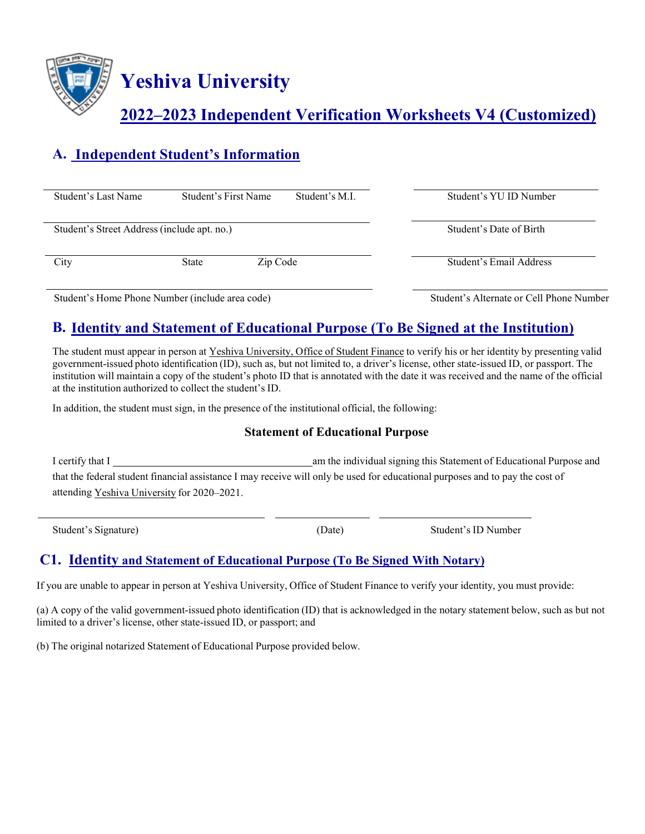

**Yeshiva University** 

# **2022–2023 Independent Verification Worksheets V4 (Customized)**

# **A. Independent Student's Information**

| Student's Last Name                         | Student's First Name |          | Student's M.I. | Student's YU ID Number  |
|---------------------------------------------|----------------------|----------|----------------|-------------------------|
| Student's Street Address (include apt. no.) |                      |          |                | Student's Date of Birth |
| City                                        | State                | Zip Code |                | Student's Email Address |
|                                             |                      |          |                |                         |

Student's Home Phone Number (include area code) Student's Alternate or Cell Phone Number

## **B. Identity and Statement of Educational Purpose (To Be Signed at the Institution)**

The student must appear in person at Yeshiva University, Office of Student Finance to verify his or her identity by presenting valid government-issued photo identification (ID), such as, but not limited to, a driver's license, other state-issued ID, or passport. The institution will maintain a copy of the student's photo ID that is annotated with the date it was received and the name of the official at the institution authorized to collect the student's ID.

In addition, the student must sign, in the presence of the institutional official, the following:

#### **Statement of Educational Purpose**

| I certify that I                                                                                                              | am the individual signing this Statement of Educational Purpose and |
|-------------------------------------------------------------------------------------------------------------------------------|---------------------------------------------------------------------|
| that the federal student financial assistance I may receive will only be used for educational purposes and to pay the cost of |                                                                     |
| attending Yeshiva University for 2020–2021.                                                                                   |                                                                     |

Student's Signature) (Date) Student's ID Number

### **C1. Identity and Statement of Educational Purpose (To Be Signed With Notary)**

If you are unable to appear in person at Yeshiva University, Office of Student Finance to verify your identity, you must provide:

(a) A copy of the valid government-issued photo identification (ID) that is acknowledged in the notary statement below, such as but not limited to a driver's license, other state-issued ID, or passport; and

(b) The original notarized Statement of Educational Purpose provided below.